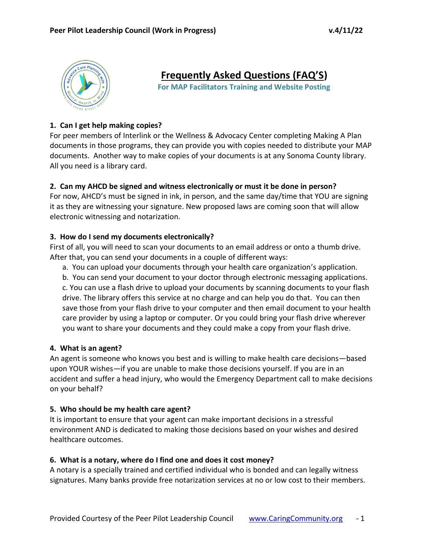

# **Frequently Asked Questions (FAQ'S)**

**For MAP Facilitators Training and Website Posting**

## **1. Can I get help making copies?**

For peer members of Interlink or the Wellness & Advocacy Center completing Making A Plan documents in those programs, they can provide you with copies needed to distribute your MAP documents. Another way to make copies of your documents is at any Sonoma County library. All you need is a library card.

# **2. Can my AHCD be signed and witness electronically or must it be done in person?**

For now, AHCD's must be signed in ink, in person, and the same day/time that YOU are signing it as they are witnessing your signature. New proposed laws are coming soon that will allow electronic witnessing and notarization.

## **3. How do I send my documents electronically?**

First of all, you will need to scan your documents to an email address or onto a thumb drive. After that, you can send your documents in a couple of different ways:

a. You can upload your documents through your health care organization's application.

b. You can send your document to your doctor through electronic messaging applications. c. You can use a flash drive to upload your documents by scanning documents to your flash drive. The library offers this service at no charge and can help you do that. You can then save those from your flash drive to your computer and then email document to your health care provider by using a laptop or computer. Or you could bring your flash drive wherever you want to share your documents and they could make a copy from your flash drive.

## **4. What is an agent?**

An agent is someone who knows you best and is willing to make health care decisions—based upon YOUR wishes—if you are unable to make those decisions yourself. If you are in an accident and suffer a head injury, who would the Emergency Department call to make decisions on your behalf?

## **5. Who should be my health care agent?**

It is important to ensure that your agent can make important decisions in a stressful environment AND is dedicated to making those decisions based on your wishes and desired healthcare outcomes.

## **6. What is a notary, where do I find one and does it cost money?**

A notary is a specially trained and certified individual who is bonded and can legally witness signatures. Many banks provide free notarization services at no or low cost to their members.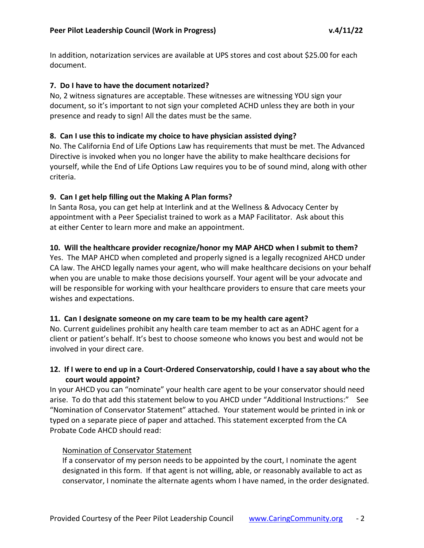In addition, notarization services are available at UPS stores and cost about \$25.00 for each document.

## **7. Do I have to have the document notarized?**

No, 2 witness signatures are acceptable. These witnesses are witnessing YOU sign your document, so it's important to not sign your completed ACHD unless they are both in your presence and ready to sign! All the dates must be the same.

## **8. Can I use this to indicate my choice to have physician assisted dying?**

No. The California End of Life Options Law has requirements that must be met. The Advanced Directive is invoked when you no longer have the ability to make healthcare decisions for yourself, while the End of Life Options Law requires you to be of sound mind, along with other criteria.

# **9. Can I get help filling out the Making A Plan forms?**

In Santa Rosa, you can get help at Interlink and at the Wellness & Advocacy Center by appointment with a Peer Specialist trained to work as a MAP Facilitator. Ask about this at either Center to learn more and make an appointment.

# **10. Will the healthcare provider recognize/honor my MAP AHCD when I submit to them?**

Yes. The MAP AHCD when completed and properly signed is a legally recognized AHCD under CA law. The AHCD legally names your agent, who will make healthcare decisions on your behalf when you are unable to make those decisions yourself. Your agent will be your advocate and will be responsible for working with your healthcare providers to ensure that care meets your wishes and expectations.

## **11. Can I designate someone on my care team to be my health care agent?**

No. Current guidelines prohibit any health care team member to act as an ADHC agent for a client or patient's behalf. It's best to choose someone who knows you best and would not be involved in your direct care.

# **12. If I were to end up in a Court-Ordered Conservatorship, could I have a say about who the court would appoint?**

In your AHCD you can "nominate" your health care agent to be your conservator should need arise. To do that add this statement below to you AHCD under "Additional Instructions:" See "Nomination of Conservator Statement" attached. Your statement would be printed in ink or typed on a separate piece of paper and attached. This statement excerpted from the CA Probate Code AHCD should read:

## Nomination of Conservator Statement

If a conservator of my person needs to be appointed by the court, I nominate the agent designated in this form. If that agent is not willing, able, or reasonably available to act as conservator, I nominate the alternate agents whom I have named, in the order designated.